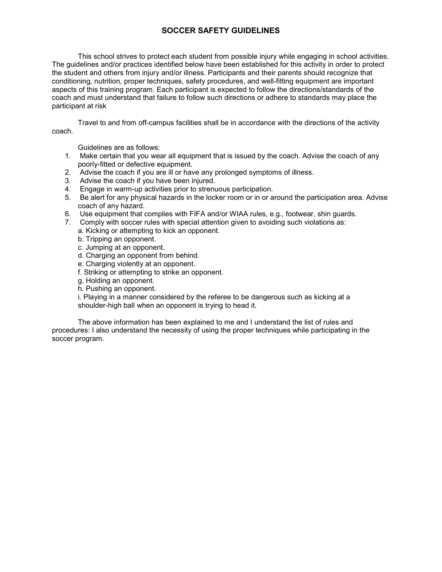## **SOCCER SAFETY GUIDELINES**

 This school strives to protect each student from possible injury while engaging in school activities. The guidelines and/or practices identified below have been established for this activity in order to protect coach and must understand that failure to follow such directions or adhere to standards may place the the student and others from injury and/or illness. Participants and their parents should recognize that conditioning, nutrition, proper techniques, safety procedures, and well-fitting equipment are important aspects of this training program. Each participant is expected to follow the directions/standards of the participant at risk

Travel to and from off-campus facilities shall be in accordance with the directions of the activity coach.

Guidelines are as follows:

- 1. Make certain that you wear all equipment that is issued by the coach. Advise the coach of any poorly-fitted or defective equipment.
- 2. Advise the coach if you are ill or have any prolonged symptoms of illness.
- 3. Advise the coach if you have been injured.
- 4. Engage in warm-up activities prior to strenuous participation.
- 5. Be alert for any physical hazards in the locker room or in or around the participation area. Advise coach of any hazard.
- 6. Use equipment that complies with FIFA and/or WIAA rules, e.g., footwear, shin guards.
- 7. Comply with soccer rules with special attention given to avoiding such violations as:
	- a. Kicking or attempting to kick an opponent.
		- b. Tripping an opponent.
	- c. Jumping at an opponent.
	- d. Charging an opponent from behind.
	- e. Charging violently at an opponent.
	- f. Striking or attempting to strike an opponent.
	- g. Holding an opponent.
	- h. Pushing an opponent.

 shoulder-high ball when an opponent is trying to head it. i. Playing in a manner considered by the referee to be dangerous such as kicking at a

The above information has been explained to me and I understand the list of rules and procedures: I also understand the necessity of using the proper techniques while participating in the soccer program.